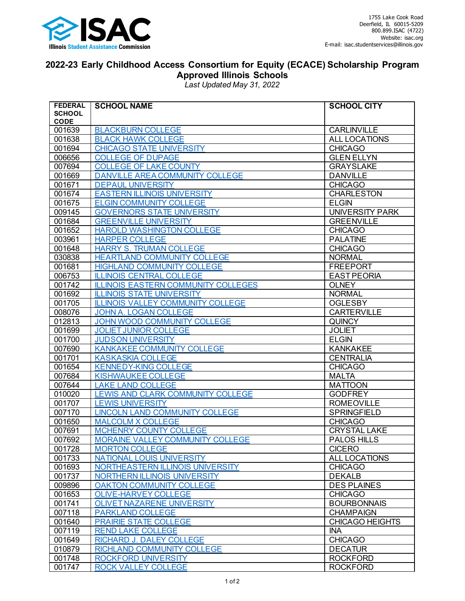

## **2022-23 Early Childhood Access Consortium for Equity (ECACE) Scholarship Program Approved Illinois Schools**

*Last Updated May 31, 2022*

| <b>FEDERAL</b>        | <b>SCHOOL NAME</b>                         | <b>SCHOOL CITY</b>     |
|-----------------------|--------------------------------------------|------------------------|
| <b>SCHOOL</b>         |                                            |                        |
| <b>CODE</b><br>001639 | <b>BLACKBURN COLLEGE</b>                   | <b>CARLINVILLE</b>     |
| 001638                | <b>BLACK HAWK COLLEGE</b>                  | ALL LOCATIONS          |
| 001694                | <b>CHICAGO STATE UNIVERSITY</b>            | <b>CHICAGO</b>         |
| 006656                | <b>COLLEGE OF DUPAGE</b>                   | <b>GLEN ELLYN</b>      |
| 007694                | <b>COLLEGE OF LAKE COUNTY</b>              | <b>GRAYSLAKE</b>       |
| 001669                | <b>DANVILLE AREA COMMUNITY COLLEGE</b>     | <b>DANVILLE</b>        |
| 001671                | <b>DEPAUL UNIVERSITY</b>                   | <b>CHICAGO</b>         |
| 001674                | <b>EASTERN ILLINOIS UNIVERSITY</b>         | <b>CHARLESTON</b>      |
| 001675                | <b>ELGIN COMMUNITY COLLEGE</b>             | <b>ELGIN</b>           |
| 009145                | <b>GOVERNORS STATE UNIVERSITY</b>          | <b>UNIVERSITY PARK</b> |
| 001684                | <b>GREENVILLE UNIVERSITY</b>               | <b>GREENVILLE</b>      |
| 001652                | <b>HAROLD WASHINGTON COLLEGE</b>           | <b>CHICAGO</b>         |
| 003961                | <b>HARPER COLLEGE</b>                      | <b>PALATINE</b>        |
| 001648                | <b>HARRY S. TRUMAN COLLEGE</b>             | <b>CHICAGO</b>         |
| 030838                | <b>HEARTLAND COMMUNITY COLLEGE</b>         | <b>NORMAL</b>          |
| 001681                | <b>HIGHLAND COMMUNITY COLLEGE</b>          | <b>FREEPORT</b>        |
| 006753                | <b>ILLINOIS CENTRAL COLLEGE</b>            | <b>EAST PEORIA</b>     |
| 001742                | <b>ILLINOIS EASTERN COMMUNITY COLLEGES</b> | <b>OLNEY</b>           |
| 001692                | <b>ILLINOIS STATE UNIVERSITY</b>           | <b>NORMAL</b>          |
| 001705                | <b>ILLINOIS VALLEY COMMUNITY COLLEGE</b>   | <b>OGLESBY</b>         |
| 008076                | JOHN A. LOGAN COLLEGE                      | <b>CARTERVILLE</b>     |
| 012813                | JOHN WOOD COMMUNITY COLLEGE                | <b>QUINCY</b>          |
| 001699                | <b>JOLIET JUNIOR COLLEGE</b>               | <b>JOLIET</b>          |
| 001700                | <b>JUDSON UNIVERSITY</b>                   | <b>ELGIN</b>           |
| 007690                | <b>KANKAKEE COMMUNITY COLLEGE</b>          | <b>KANKAKEE</b>        |
| 001701                | <b>KASKASKIA COLLEGE</b>                   | <b>CENTRALIA</b>       |
| 001654                | <b>KENNEDY-KING COLLEGE</b>                | <b>CHICAGO</b>         |
| 007684                | <b>KISHWAUKEE COLLEGE</b>                  | <b>MALTA</b>           |
| 007644                | <b>LAKE LAND COLLEGE</b>                   | <b>MATTOON</b>         |
| 010020                | LEWIS AND CLARK COMMUNITY COLLEGE          | <b>GODFREY</b>         |
| 001707                | <b>LEWIS UNIVERSITY</b>                    | <b>ROMEOVILLE</b>      |
| 007170                | <b>LINCOLN LAND COMMUNITY COLLEGE</b>      | <b>SPRINGFIELD</b>     |
| 001650                | <b>MALCOLM X COLLEGE</b>                   | <b>CHICAGO</b>         |
| 007691                | <b>MCHENRY COUNTY COLLEGE</b>              | <b>CRYSTAL LAKE</b>    |
| 007692                | MORAINE VALLEY COMMUNITY COLLEGE           | <b>PALOS HILLS</b>     |
| 001728                | <b>MORTON COLLEGE</b>                      | <b>CICERO</b>          |
| 001733                | <b>NATIONAL LOUIS UNIVERSITY</b>           | ALL LOCATIONS          |
| 001693                | NORTHEASTERN ILLINOIS UNIVERSITY           | <b>CHICAGO</b>         |
| 001737                | NORTHERN ILLINOIS UNIVERSITY               | <b>DEKALB</b>          |
| 009896                | <b>OAKTON COMMUNITY COLLEGE</b>            | <b>DES PLAINES</b>     |
| 001653                | <b>OLIVE-HARVEY COLLEGE</b>                | <b>CHICAGO</b>         |
| 001741                | <b>OLIVET NAZARENE UNIVERSITY</b>          | <b>BOURBONNAIS</b>     |
| 007118                | <b>PARKLAND COLLEGE</b>                    | <b>CHAMPAIGN</b>       |
| 001640                | <b>PRAIRIE STATE COLLEGE</b>               | <b>CHICAGO HEIGHTS</b> |
| 007119                | <b>REND LAKE COLLEGE</b>                   | <b>INA</b>             |
| 001649                | RICHARD J. DALEY COLLEGE                   | <b>CHICAGO</b>         |
| 010879                | RICHLAND COMMUNITY COLLEGE                 | <b>DECATUR</b>         |
| 001748                | <b>ROCKFORD UNIVERSITY</b>                 | <b>ROCKFORD</b>        |
| 001747                | <b>ROCK VALLEY COLLEGE</b>                 | <b>ROCKFORD</b>        |